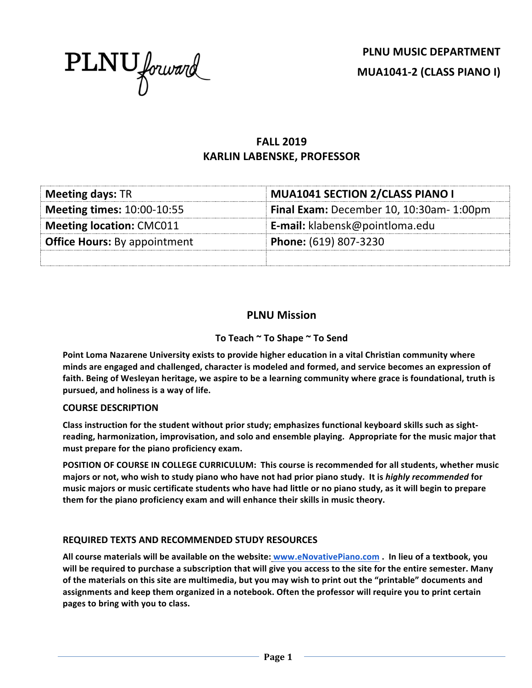

# **FALL 2019 KARLIN LABENSKE, PROFESSOR**

| <b>Meeting days: TR</b>             | <b>MUA1041 SECTION 2/CLASS PIANO I</b>   |  |  |
|-------------------------------------|------------------------------------------|--|--|
| <b>Meeting times: 10:00-10:55</b>   | Final Exam: December 10, 10:30am- 1:00pm |  |  |
| <b>Meeting location: CMC011</b>     | <b>E-mail:</b> klabensk@pointloma.edu    |  |  |
| <b>Office Hours: By appointment</b> | Phone: (619) 807-3230                    |  |  |
|                                     |                                          |  |  |

# **PLNU Mission**

#### To Teach ~ To Shape ~ To Send

**Point Loma Nazarene University exists to provide higher education in a vital Christian community where** minds are engaged and challenged, character is modeled and formed, and service becomes an expression of faith. Being of Wesleyan heritage, we aspire to be a learning community where grace is foundational, truth is **pursued, and holiness is a way of life.**

#### **COURSE DESCRIPTION**

Class instruction for the student without prior study; emphasizes functional keyboard skills such as sightreading, harmonization, improvisation, and solo and ensemble playing. Appropriate for the music major that must prepare for the piano proficiency exam.

**POSITION OF COURSE IN COLLEGE CURRICULUM:** This course is recommended for all students, whether music majors or not, who wish to study piano who have not had prior piano study. It is *highly recommended* for music majors or music certificate students who have had little or no piano study, as it will begin to prepare them for the piano proficiency exam and will enhance their skills in music theory.

#### **REQUIRED TEXTS AND RECOMMENDED STUDY RESOURCES**

All course materials will be available on the website: www.eNovativePiano.com . In lieu of a textbook, you will be required to purchase a subscription that will give you access to the site for the entire semester. Many of the materials on this site are multimedia, but you may wish to print out the "printable" documents and assignments and keep them organized in a notebook. Often the professor will require you to print certain pages to bring with you to class.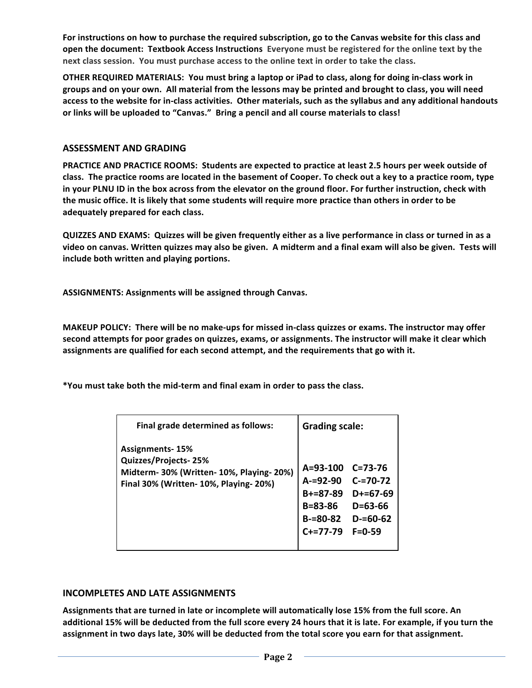For instructions on how to purchase the required subscription, go to the Canvas website for this class and **open the document: Textbook Access Instructions** Everyone must be registered for the online text by the next class session. You must purchase access to the online text in order to take the class.

**OTHER REQUIRED MATERIALS: You must bring a laptop or iPad to class, along for doing in-class work in** groups and on your own. All material from the lessons may be printed and brought to class, you will need access to the website for in-class activities. Other materials, such as the syllabus and any additional handouts or links will be uploaded to "Canvas." Bring a pencil and all course materials to class!

#### **ASSESSMENT AND GRADING**

**PRACTICE AND PRACTICE ROOMS: Students are expected to practice at least 2.5 hours per week outside of** class. The practice rooms are located in the basement of Cooper. To check out a key to a practice room, type in your PLNU ID in the box across from the elevator on the ground floor. For further instruction, check with the music office. It is likely that some students will require more practice than others in order to be **adequately prepared for each class.**

**QUIZZES AND EXAMS:** Quizzes will be given frequently either as a live performance in class or turned in as a video on canvas. Written quizzes may also be given. A midterm and a final exam will also be given. Tests will **include both written and playing portions.** 

**ASSIGNMENTS: Assignments will be assigned through Canvas.** 

**MAKEUP POLICY:** There will be no make-ups for missed in-class quizzes or exams. The instructor may offer second attempts for poor grades on quizzes, exams, or assignments. The instructor will make it clear which assignments are qualified for each second attempt, and the requirements that go with it.

**\*You must take both the mid-term and final exam in order to pass the class.**

| Final grade determined as follows:                                                                                                    | <b>Grading scale:</b>                                                                   |                                                                                                |
|---------------------------------------------------------------------------------------------------------------------------------------|-----------------------------------------------------------------------------------------|------------------------------------------------------------------------------------------------|
| <b>Assignments-15%</b><br>Quizzes/Projects-25%<br>Midterm- 30% (Written- 10%, Playing- 20%)<br>Final 30% (Written- 10%, Playing- 20%) | $A = 93 - 100$<br>$A = 92 - 90$<br>$B+=87-89$<br>B=83-86<br>$B = 80 - 82$<br>$C+=77-79$ | $C = 73 - 76$<br>$C = 70 - 72$<br>$D+=67-69$<br>$D = 63 - 66$<br>$D = 60 - 62$<br>$F = 0 - 59$ |

#### **INCOMPLETES AND LATE ASSIGNMENTS**

Assignments that are turned in late or incomplete will automatically lose 15% from the full score. An additional 15% will be deducted from the full score every 24 hours that it is late. For example, if you turn the assignment in two days late, 30% will be deducted from the total score you earn for that assignment.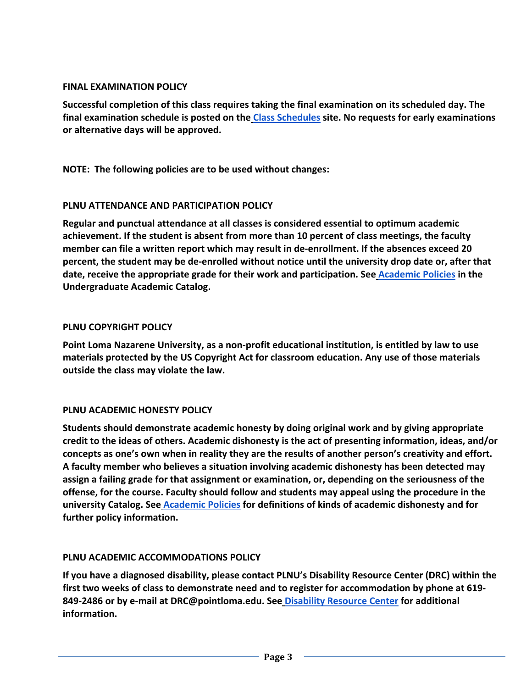### **FINAL EXAMINATION POLICY**

Successful completion of this class requires taking the final examination on its scheduled day. The final examination schedule is posted on the Class Schedules site. No requests for early examinations **or alternative days will be approved.**

**NOTE:** The following policies are to be used without changes:

# **PLNU ATTENDANCE AND PARTICIPATION POLICY**

**Regular and punctual attendance at all classes is considered essential to optimum academic** achievement. If the student is absent from more than 10 percent of class meetings, the faculty member can file a written report which may result in de-enrollment. If the absences exceed 20 **percent, the student may be de-enrolled without notice until the university drop date or, after that date, receive the appropriate grade for their work and participation. See Academic Policies in the Undergraduate Academic Catalog.**

# **PLNU COPYRIGHT POLICY**

**Point Loma Nazarene University, as a non-profit educational institution, is entitled by law to use** materials protected by the US Copyright Act for classroom education. Any use of those materials **outside the class may violate the law.** 

### **PLNU ACADEMIC HONESTY POLICY**

Students should demonstrate academic honesty by doing original work and by giving appropriate credit to the ideas of others. Academic dishonesty is the act of presenting information, ideas, and/or concepts as one's own when in reality they are the results of another person's creativity and effort. A faculty member who believes a situation involving academic dishonesty has been detected may assign a failing grade for that assignment or examination, or, depending on the seriousness of the offense, for the course. Faculty should follow and students may appeal using the procedure in the **university Catalog. See Academic Policies for definitions of kinds of academic dishonesty and for**  further policy information.

### **PLNU ACADEMIC ACCOMMODATIONS POLICY**

If you have a diagnosed disability, please contact PLNU's Disability Resource Center (DRC) within the first two weeks of class to demonstrate need and to register for accommodation by phone at 619-**849-2486** or by e-mail at DRC@pointloma.edu. See Disability Resource Center for additional **information.**